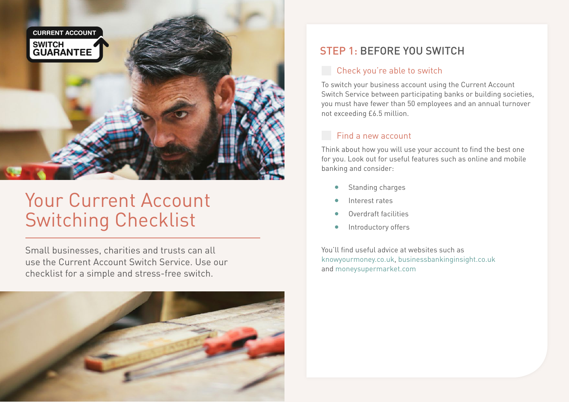

# Your Current Account Switching Checklist

Small businesses, charities and trusts can all use the Current Account Switch Service. Use our checklist for a simple and stress-free switch.



## STEP 1: BEFORE YOU SWITCH

#### **Check you're able to switch**

To switch your business account using the Current Account Switch Service between participating banks or building societies, you must have fewer than 50 employees and an annual turnover not exceeding £6.5 million.

#### Find a new account

Think about how you will use your account to find the best one for you. Look out for useful features such as online and mobile banking and consider:

- Standing charges
- Interest rates
- Overdraft facilities
- Introductory offers

You'll find useful advice at websites such as [knowyourmoney.co.uk](http://www.knowyourmoney.co.uk/business-current-accounts/), [businessbankinginsight.co.uk](http://www.businessbankinginsight.co.uk) and [moneysupermarket.com](http://www.moneysupermarket.com/business-finance/)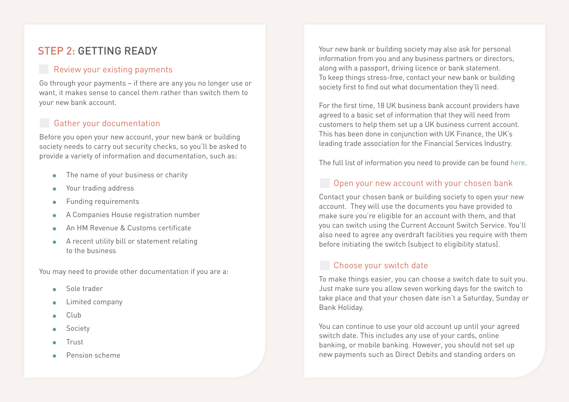## STEP 2: GETTING READY

#### **Review your existing payments**

Go through your payments – if there are any you no longer use or want, it makes sense to cancel them rather than switch them to your new bank account.

## Gather your documentation

Before you open your new account, your new bank or building society needs to carry out security checks, so you'll be asked to provide a variety of information and documentation, such as:

- The name of your business or charity
- Your trading address
- Funding requirements
- A Companies House registration number
- An HM Revenue & Customs certificate
- A recent utility bill or statement relating to the business

You may need to provide other documentation if you are a:

- Sole trader
- Limited company
- Club  $\bullet$
- Society
- Trust  $\bullet$
- Pension scheme

Your new bank or building society may also ask for personal information from you and any business partners or directors, along with a passport, driving licence or bank statement. To keep things stress-free, contact your new bank or building society first to find out what documentation they'll need.

For the first time, 18 UK business bank account providers have agreed to a basic set of information that they will need from customers to help them set up a UK business current account. This has been done in conjunction with UK Finance, the UK's leading trade association for the Financial Services Industry.

The full list of information you need to provide can be found [here.](https://business-account-opening-guide.ukfinance.org.uk/)

## Open your new account with your chosen bank

Contact your chosen bank or building society to open your new account. They will use the documents you have provided to make sure you're eligible for an account with them, and that you can switch using the Current Account Switch Service. You'll also need to agree any overdraft facilities you require with them before initiating the switch (subject to eligibility status).

#### Choose your switch date

To make things easier, you can choose a switch date to suit you. Just make sure you allow seven working days for the switch to take place and that your chosen date isn't a Saturday, Sunday or Bank Holiday.

You can continue to use your old account up until your agreed switch date. This includes any use of your cards, online banking, or mobile banking. However, you should not set up new payments such as Direct Debits and standing orders on